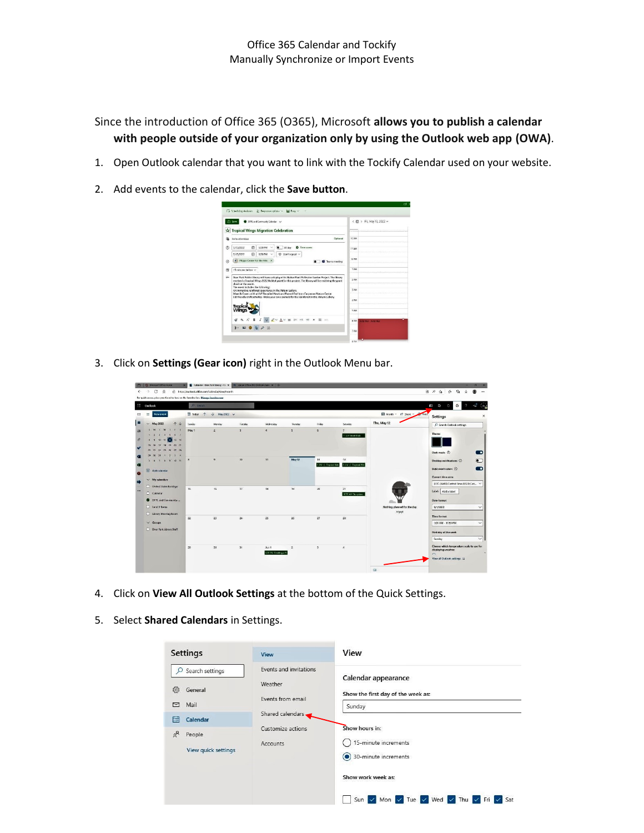Since the introduction of Office 365 (O365), Microsoft **allows you to publish a calendar with people outside of your organization only by using the Outlook web app (OWA)**.

- 1. Open Outlook calendar that you want to link with the Tockify Calendar used on your website.
- 2. Add events to the calendar, click the **Save button**.



3. Click on **Settings (Gear icon)** right in the Outlook Menu bar.

| :: Outlook                                                                                                                                                                                                | <b>Q</b> Search          |                              |                        |                |                        |                           |                                              |                                       | đ3<br>U<br>Ø                                                                             |                                          |
|-----------------------------------------------------------------------------------------------------------------------------------------------------------------------------------------------------------|--------------------------|------------------------------|------------------------|----------------|------------------------|---------------------------|----------------------------------------------|---------------------------------------|------------------------------------------------------------------------------------------|------------------------------------------|
| $=$<br>New event                                                                                                                                                                                          | T lodge<br>个             | $\downarrow$ May 2022 $\vee$ |                        |                |                        |                           |                                              | Ell Month ~ H? Share ~ No Print       | Settings                                                                                 |                                          |
| $\vee$ May 2022<br>$+ +$<br>W I F S<br>M<br>$\mathbf{L}$<br>4561<br>$T = 2$<br>$-3$<br>$\mathbf{10} \quad \mathbf{11} \quad \mathbf{12} \quad \mathbf{13} \quad \mathbf{14}$<br>A<br>15 16 17 18 19 20 21 | Sunday<br>May 1          | Monday<br>$\overline{2}$     | Tuesday<br>$3^{\circ}$ | Wednesday<br>٠ | <b>Thursday</b><br>151 | Index<br>$\epsilon$       | Saturday<br>$\mathcal{I}$<br>11 AM BOOK Club | Thu, May 12                           | C Search Outlook settings<br>Theme                                                       |                                          |
| 22 23 24 25 26 27 28<br>29 30 31 1 2 3 4<br>3 6 7 8 9 10 11<br>E Add odendar                                                                                                                              | 8                        | $\mathbf{Q}$                 | 10                     | 11             | May 12                 | 13<br>6 PM S Tropical Win | 14.<br>8 AM << Tropical Win                  |                                       | Dark mode (i)<br>Desktop notifications (c)<br>Bold event colors (i)<br>Current time zone | $\blacksquare$<br>$\bullet$<br>$\bullet$ |
| $\vee$ My calendary<br>United States holidays<br>C Calendar<br><sup>2</sup> DPR and Community                                                                                                             | 15                       | 16                           | $\mathbf{v}$           | 1R             | 19                     | 20                        | 21<br>1830 AM Storylime                      |                                       | R/IC-06003 Central Time (US & Can., V<br>Label: Add a label<br>Date format               |                                          |
| C Irod Il livros<br>C Library Meeting Room<br>$\vee$ Groups<br>C Door Park Library Staff                                                                                                                  | $\overline{\mathcal{D}}$ | $\mathfrak{n}$               | 24                     | $\mathcal{H}$  | 26                     | $\overline{\mathcal{D}}$  | 28                                           | Nothing planned for the day<br>Enjoyt | 9/1/2022<br><b>Time format</b><br>101 AM - 1159 PM                                       |                                          |
|                                                                                                                                                                                                           | 29                       | 30 <sup>°</sup>              | 31                     | Am 1           | $\overline{z}$         | $\overline{z}$            | $\overline{A}$                               |                                       | First day of the usek<br>Surelay<br>Choose which temperature scale to use for            |                                          |

- 4. Click on **View All Outlook Settings** at the bottom of the Quick Settings.
- 5. Select **Shared Calendars** in Settings.

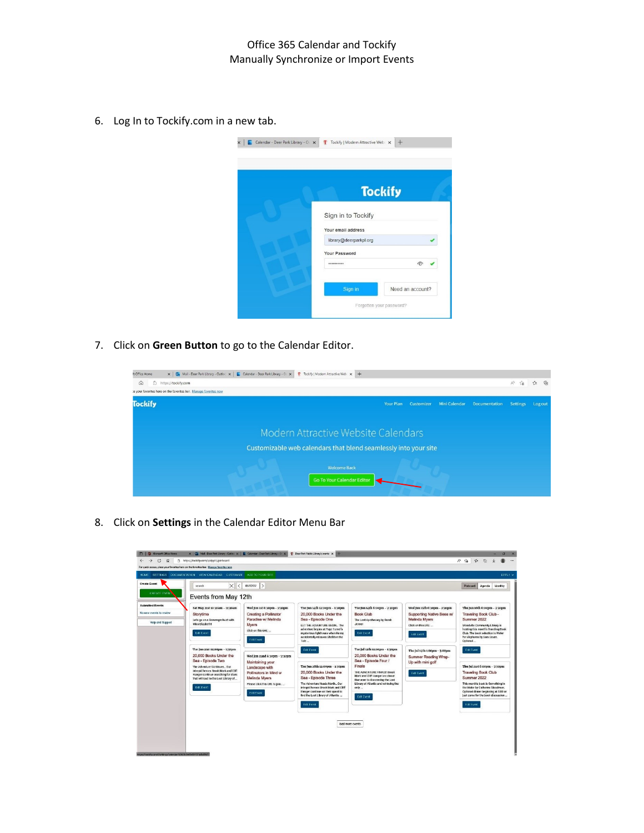6. Log In to Tockify.com in a new tab.



7. Click on **Green Button** to go to the Calendar Editor.



8. Click on **Settings** in the Calendar Editor Menu Bar

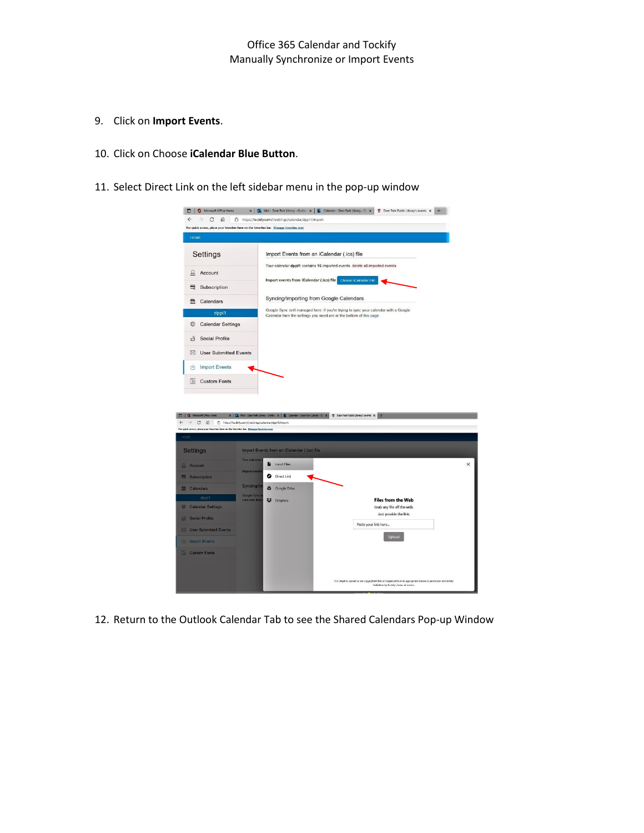- 9. Click on **Import Events**.
- 10. Click on Choose **iCalendar Blue Button**.
- 11. Select Direct Link on the left sidebar menu in the pop-up window

| <b>HOME</b>                                                                                                                                |                                                                                                                                                             |
|--------------------------------------------------------------------------------------------------------------------------------------------|-------------------------------------------------------------------------------------------------------------------------------------------------------------|
| Settings                                                                                                                                   | Import Events from an iCalendar (.ics) file                                                                                                                 |
|                                                                                                                                            | Your calendar dppl1 contains 16 imported events. delete all imported events                                                                                 |
| Q<br>Account                                                                                                                               | Import events from iCalendar (.ics) file<br>Choose (Calendar File                                                                                           |
| ⊟<br>Subscription                                                                                                                          |                                                                                                                                                             |
| 曲<br>Calendars                                                                                                                             | Syncing/Importing from Google Calendars                                                                                                                     |
| dppl1                                                                                                                                      | Google Sync isn't managed here: If you're trying to sync your calendar with a Google<br>Calendar then the settings you need are at the bottom of this page. |
| 69<br><b>Calendar Settings</b>                                                                                                             |                                                                                                                                                             |
| <b>Social Profile</b><br>πŤ                                                                                                                |                                                                                                                                                             |
| <b>User Submitted Events</b><br>⊠                                                                                                          |                                                                                                                                                             |
|                                                                                                                                            |                                                                                                                                                             |
| <b>Import Events</b><br>内                                                                                                                  |                                                                                                                                                             |
| <b>Custom Fonts</b>                                                                                                                        | x   Qu Mai - Deer Park Library - Outlo: x   E Calendar - Deer Park Library - C: x   T Deer Park Public Library's events X                                   |
| $C \n0$<br>https://tockify.com/i/settings/calendar/dppl1/import                                                                            |                                                                                                                                                             |
| Tr<br>0 Microsoft Office Home<br>For quick access, place your favorites here on the favorites bar. Manage favorites now<br><b>Settings</b> | Import Events from an iCalendar (.ics) file                                                                                                                 |
| Your calenda                                                                                                                               | Local Files<br>n                                                                                                                                            |
| <b>Import event</b>                                                                                                                        | Direct Link<br>◉                                                                                                                                            |
| Q Account<br>Subscription<br><b>Syncing/In</b><br>图 Calendars                                                                              | A<br>Google Drive                                                                                                                                           |
| Google Sync<br>Calendar the<br>dppl1                                                                                                       | <b>Files from the Web</b><br><b>CF</b> Dropbox                                                                                                              |
|                                                                                                                                            | Grab any file off the web.<br>Just provide the link.                                                                                                        |
| Calendar Settings<br><b>Social Profile</b>                                                                                                 | Paste your link here                                                                                                                                        |
| ■ User Submitted Events                                                                                                                    | Upload                                                                                                                                                      |
| inport Events<br><b>Custom Fonts</b>                                                                                                       |                                                                                                                                                             |

12. Return to the Outlook Calendar Tab to see the Shared Calendars Pop-up Window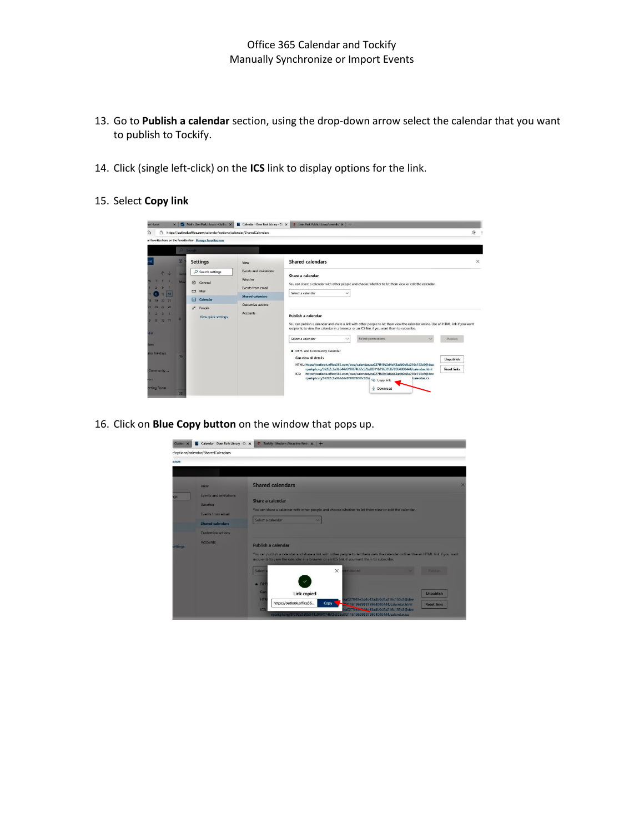- 13. Go to **Publish a calendar** section, using the drop-down arrow select the calendar that you want to publish to Tockify.
- 14. Click (single left-click) on the **ICS** link to display options for the link.
- 15. Select **Copy link**

| â                         |     | https://outlook.office.com/calendar/options/calendar/SharedCalendars |                              |                                                                                                                                                                                                                                                      | ⊚        |
|---------------------------|-----|----------------------------------------------------------------------|------------------------------|------------------------------------------------------------------------------------------------------------------------------------------------------------------------------------------------------------------------------------------------------|----------|
|                           |     | ur favorites here on the favorites bar. Manage favorites now         |                              |                                                                                                                                                                                                                                                      |          |
|                           |     | $D$ Search                                                           |                              |                                                                                                                                                                                                                                                      |          |
|                           | 圆   | <b>Settings</b>                                                      | View                         | <b>Shared calendars</b>                                                                                                                                                                                                                              | $\times$ |
| $\uparrow \downarrow$     | Sur | $O$ Search settings                                                  | Events and invitations       | Share a calendar                                                                                                                                                                                                                                     |          |
|                           | Ma  | General<br>fes                                                       | Weather<br>Events from email | You can share a calendar with other people and choose whether to let them view or edit the calendar.                                                                                                                                                 |          |
| 14                        |     | $\sim$<br>Mail                                                       | Shared calendars             | Select a calendar<br>$\checkmark$                                                                                                                                                                                                                    |          |
| 21<br>m<br>$26$ $27$ $28$ |     | 罱<br>Calendar<br>g <sup>R</sup><br>People                            | Customize actions            |                                                                                                                                                                                                                                                      |          |
| 74<br>$9 \t10 \t11$       |     | View quick settings                                                  | <b>Accounts</b>              | Publish a calendar<br>You can publish a calendar and share a link with other people to let them view the calendar online. Use an HTML link if you want<br>recipients to view the calendar in a browser or an ICS link if you want them to subscribe. |          |
|                           |     |                                                                      |                              | Select permissions<br>Select a calendar<br>Publish<br>$\checkmark$                                                                                                                                                                                   |          |
| ates holidays             |     |                                                                      |                              | . DPPL and Community Calendar                                                                                                                                                                                                                        |          |
|                           | 15  |                                                                      |                              | Can view all details<br><b>Unpublish</b><br>HTML: https://outlook.office365.com/owa/calendar/ea027ff49e3d4d43adb0d8a216c153c8@dee                                                                                                                    |          |
| Community                 |     |                                                                      |                              | <b>Reset links</b><br>rparkpl.org/3fd92c3a0b544a9f9f0746f2c52bd83116196395876964000444/calendar.html<br>ICS: https://outlook.office365.com/owa/calendar/ea027ff49e3d4d43adb0d8a216c153c8@dee                                                         |          |
|                           |     |                                                                      |                              | rparkpl.org/3fd92c3a0b544a9f9f0746f2c52b( @ Copy link<br>(calendar.ics                                                                                                                                                                               |          |
|                           |     |                                                                      |                              |                                                                                                                                                                                                                                                      |          |

16. Click on **Blue Copy button** on the window that pops up.

| Outloo x | Calendar - Deer Park Library - O. X                                                             | T Tockify   Modern Attractive Web: x +                                                                                                                                                                                                                                                                                                                                                 |          |
|----------|-------------------------------------------------------------------------------------------------|----------------------------------------------------------------------------------------------------------------------------------------------------------------------------------------------------------------------------------------------------------------------------------------------------------------------------------------------------------------------------------------|----------|
|          | r/options/calendar/SharedCalendars                                                              |                                                                                                                                                                                                                                                                                                                                                                                        |          |
| s now    |                                                                                                 |                                                                                                                                                                                                                                                                                                                                                                                        |          |
|          |                                                                                                 |                                                                                                                                                                                                                                                                                                                                                                                        |          |
|          | View                                                                                            | <b>Shared calendars</b>                                                                                                                                                                                                                                                                                                                                                                | $\times$ |
|          | <b>Events and invitations</b><br>Weather<br><b>Events from email</b><br><b>Shared calendars</b> | Share a calendar<br>You can share a calendar with other people and choose whether to let them view or edit the calendar.<br>Select a calendar<br>U                                                                                                                                                                                                                                     |          |
| ettings  | <b>Customize actions</b><br><b>Accounts</b>                                                     | Publish a calendar<br>You can publish a calendar and share a link with other people to let them view the calendar online. Use an HTML link if you want<br>recipients to view the calendar in a browser or an ICS link if you want them to subscribe.                                                                                                                                   |          |
|          |                                                                                                 | $\times$<br>Select<br>pnoissions<br>Publich<br>$\bullet$ DP<br>Car<br>Link copied<br><b>Unpublish</b><br>HT<br>ea027ff49e3d4d43adb0d8a216c153c8@dee<br>https://outlook.office36<br>Copy<br>192116196395876964000444/calendar.html<br><b>Reset links</b><br>a027ff49e344d43adb0d8a216c153c8@dee<br>ICS<br>rparkpl.org/3fd92c3a0b544a9f9f0746f2c52bd83116196395876964000444/calendar.ics |          |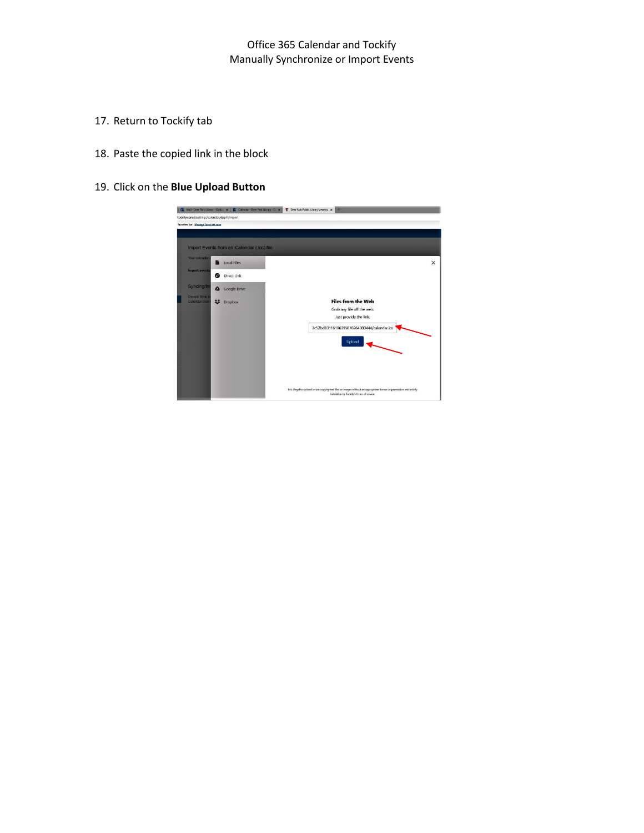## Office 365 Calendar and Tockify Manually Synchronize or Import Events

- 17. Return to Tockify tab
- 18. Paste the copied link in the block
- 19. Click on the **Blue Upload Button**

|                                     | Mail - Deer Park Library - Outloo X   Calendar - Deer Park Library - O. X<br>/tockify.com/i/settings/calendar/dppl1/import |                                                                                                                                                                  |
|-------------------------------------|----------------------------------------------------------------------------------------------------------------------------|------------------------------------------------------------------------------------------------------------------------------------------------------------------|
| favorites bar. Manage favorites now |                                                                                                                            |                                                                                                                                                                  |
|                                     |                                                                                                                            |                                                                                                                                                                  |
|                                     | Import Events from an iCalendar (.ics) file                                                                                |                                                                                                                                                                  |
| Your calendar                       | <b>Local Files</b><br>n                                                                                                    | $\times$                                                                                                                                                         |
| <b>Import events</b>                | <b>Direct Link</b><br>Θ                                                                                                    |                                                                                                                                                                  |
| <b>Syncing/Im</b>                   | <b>Google Drive</b><br>▵                                                                                                   |                                                                                                                                                                  |
| Google Sync i<br>Calendar then      | 22<br><b>Dropbox</b>                                                                                                       | <b>Files from the Web</b><br>Grab any file off the web.<br>Just provide the link.                                                                                |
|                                     |                                                                                                                            | 2c52bd83116196395876964000444/calendar.ics<br>Upload                                                                                                             |
|                                     |                                                                                                                            |                                                                                                                                                                  |
|                                     |                                                                                                                            | It is illegal to upload or use copyrighted files or images without an appropriate license or permission and strictly<br>forbidden by Tockify's terms of service. |